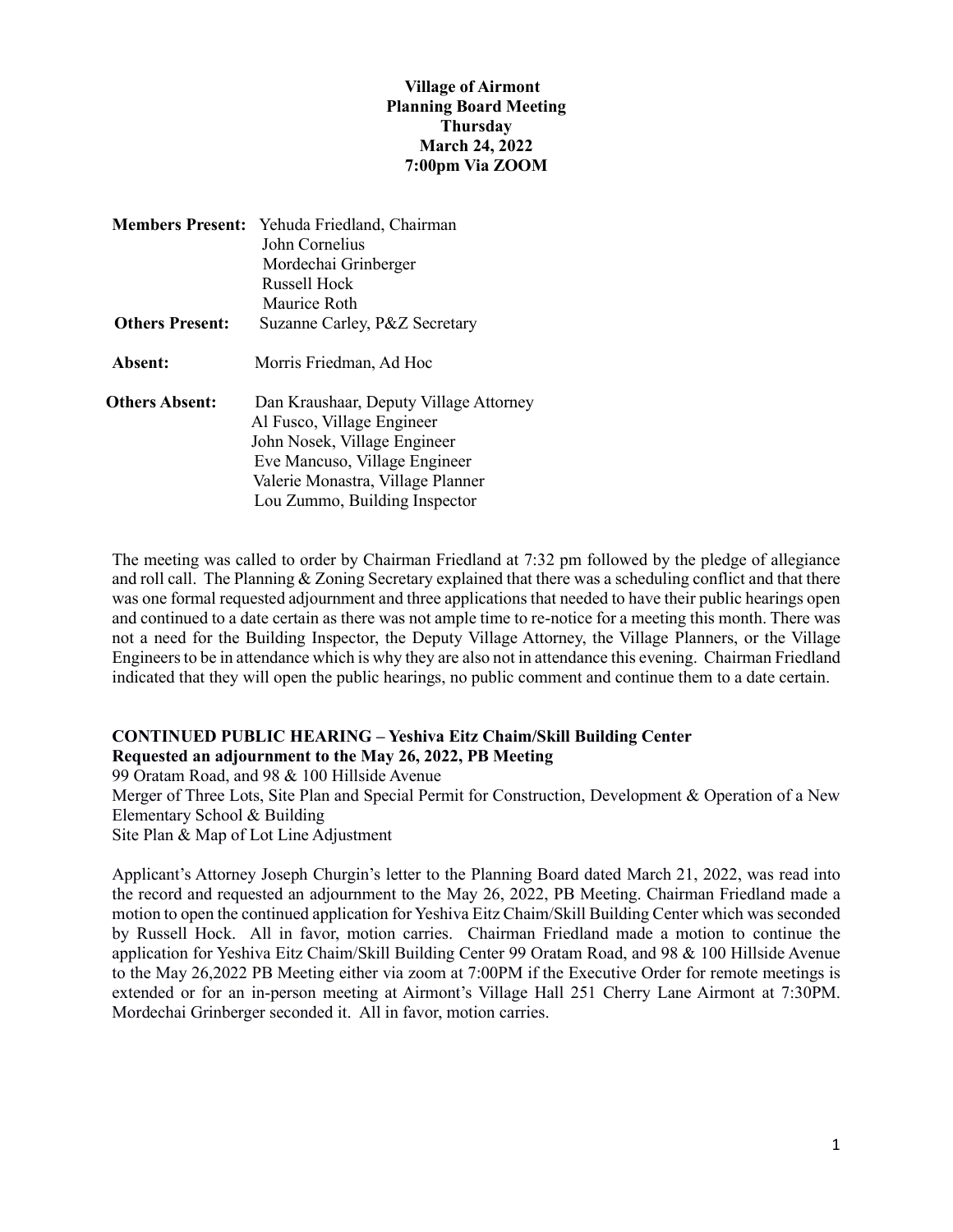## **Village of Airmont Planning Board Meeting Thursday March 24, 2022 7:00pm Via ZOOM**

|                        | Members Present: Yehuda Friedland, Chairman |
|------------------------|---------------------------------------------|
|                        | John Cornelius                              |
|                        | Mordechai Grinberger                        |
|                        | Russell Hock                                |
|                        | Maurice Roth                                |
| <b>Others Present:</b> | Suzanne Carley, P&Z Secretary               |
| Absent:                | Morris Friedman, Ad Hoc                     |
| <b>Others Absent:</b>  | Dan Kraushaar, Deputy Village Attorney      |
|                        | Al Fusco, Village Engineer                  |
|                        | John Nosek, Village Engineer                |
|                        | Eve Mancuso, Village Engineer               |
|                        | Valerie Monastra, Village Planner           |
|                        | Lou Zummo, Building Inspector               |

The meeting was called to order by Chairman Friedland at 7:32 pm followed by the pledge of allegiance and roll call. The Planning & Zoning Secretary explained that there was a scheduling conflict and that there was one formal requested adjournment and three applications that needed to have their public hearings open and continued to a date certain as there was not ample time to re-notice for a meeting this month. There was not a need for the Building Inspector, the Deputy Village Attorney, the Village Planners, or the Village Engineers to be in attendance which is why they are also not in attendance this evening. Chairman Friedland indicated that they will open the public hearings, no public comment and continue them to a date certain.

## **CONTINUED PUBLIC HEARING – Yeshiva Eitz Chaim/Skill Building Center Requested an adjournment to the May 26, 2022, PB Meeting**

99 Oratam Road, and 98 & 100 Hillside Avenue

Merger of Three Lots, Site Plan and Special Permit for Construction, Development & Operation of a New Elementary School & Building

Site Plan & Map of Lot Line Adjustment

Applicant's Attorney Joseph Churgin's letter to the Planning Board dated March 21, 2022, was read into the record and requested an adjournment to the May 26, 2022, PB Meeting. Chairman Friedland made a motion to open the continued application for Yeshiva Eitz Chaim/Skill Building Center which was seconded by Russell Hock. All in favor, motion carries. Chairman Friedland made a motion to continue the application for Yeshiva Eitz Chaim/Skill Building Center 99 Oratam Road, and 98 & 100 Hillside Avenue to the May 26,2022 PB Meeting either via zoom at 7:00PM if the Executive Order for remote meetings is extended or for an in-person meeting at Airmont's Village Hall 251 Cherry Lane Airmont at 7:30PM. Mordechai Grinberger seconded it. All in favor, motion carries.